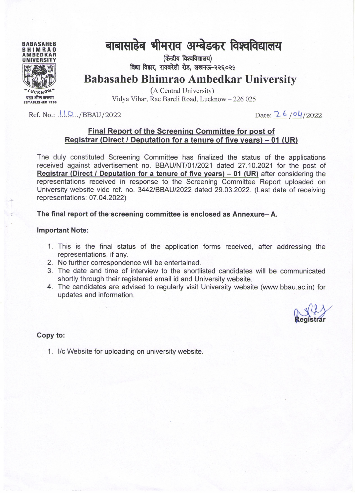

# बाबासाहेब भीमराव अम्बेडकर विश्वविद्यालय

(केन्द्रीय विश्वविद्यालय) विद्या विहार. रायबरेली रोड. लखनऊ-२२६०२५

**Babasaheb Bhimrao Ambedkar University** 

(A Central University) Vidya Vihar, Rae Bareli Road, Lucknow - 226 025

Ref. No.:  $\ldots$  /BBAU/2022

Date: 26/04/2022

#### Final Report of the Screening Committee for post of Registrar (Direct / Deputation for a tenure of five years) – 01 (UR)

The duly constituted Screening Committee has finalized the status of the applications received against advertisement no. BBAU/NT/01/2021 dated 27.10.2021 for the post of Registrar (Direct / Deputation for a tenure of five years) – 01 (UR) after considering the representations received in response to the Screening Committee Report uploaded on University website vide ref. no. 3442/BBAU/2022 dated 29.03.2022. (Last date of receiving representations: 07.04.2022)

The final report of the screening committee is enclosed as Annexure–A.

#### **Important Note:**

- 1. This is the final status of the application forms received, after addressing the representations, if any.
- 2. No further correspondence will be entertained.
- 3. The date and time of interview to the shortlisted candidates will be communicated shortly through their registered email id and University website.
- 4. The candidates are advised to regularly visit University website (www.bbau.ac.in) for updates and information.

#### Copy to:

1. I/c Website for uploading on university website.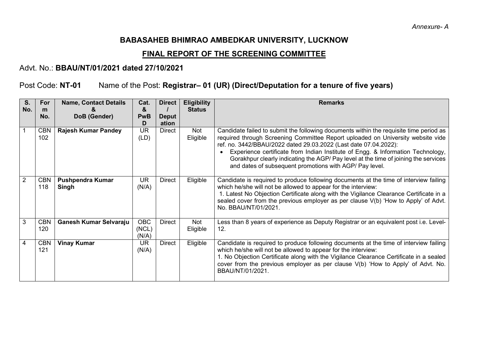## **BABASAHEB BHIMRAO AMBEDKAR UNIVERSITY, LUCKNOW**

### **FINAL REPORT OF THE SCREENING COMMITTEE**

## Advt. No.: **BBAU/NT/01/2021 dated 27/10/2021**

## Post Code: **NT-01** Name of the Post: **Registrar– 01 (UR) (Direct/Deputation for a tenure of five years)**

| S.<br>No.      | <b>For</b><br>m   | <b>Name, Contact Details</b>     | Cat.<br>&                    | <b>Direct</b>         | <b>Eligibility</b><br><b>Status</b> | <b>Remarks</b>                                                                                                                                                                                                                                                                                                                                                                                                                                                                     |
|----------------|-------------------|----------------------------------|------------------------------|-----------------------|-------------------------------------|------------------------------------------------------------------------------------------------------------------------------------------------------------------------------------------------------------------------------------------------------------------------------------------------------------------------------------------------------------------------------------------------------------------------------------------------------------------------------------|
|                | No.               | DoB (Gender)                     | <b>PwB</b><br>D              | <b>Deput</b><br>ation |                                     |                                                                                                                                                                                                                                                                                                                                                                                                                                                                                    |
|                | <b>CBN</b><br>102 | <b>Rajesh Kumar Pandey</b>       | <b>UR</b><br>(LD)            | Direct                | Not<br>Eligible                     | Candidate failed to submit the following documents within the requisite time period as<br>required through Screening Committee Report uploaded on University website vide<br>ref. no. 3442/BBAU/2022 dated 29.03.2022 (Last date 07.04.2022):<br>Experience certificate from Indian Institute of Engg. & Information Technology,<br>Gorakhpur clearly indicating the AGP/ Pay level at the time of joining the services<br>and dates of subsequent promotions with AGP/ Pay level. |
| $\overline{2}$ | <b>CBN</b><br>118 | <b>Pushpendra Kumar</b><br>Singh | <b>UR</b><br>(N/A)           | Direct                | Eligible                            | Candidate is required to produce following documents at the time of interview failing<br>which he/she will not be allowed to appear for the interview:<br>1. Latest No Objection Certificate along with the Vigilance Clearance Certificate in a<br>sealed cover from the previous employer as per clause V(b) 'How to Apply' of Advt.<br>No. BBAU/NT/01/2021.                                                                                                                     |
| 3              | <b>CBN</b><br>120 | Ganesh Kumar Selvaraju           | <b>OBC</b><br>(NCL)<br>(N/A) | <b>Direct</b>         | Not<br>Eligible                     | Less than 8 years of experience as Deputy Registrar or an equivalent post i.e. Level-<br>12.                                                                                                                                                                                                                                                                                                                                                                                       |
| 4              | <b>CBN</b><br>121 | <b>Vinay Kumar</b>               | <b>UR</b><br>(N/A)           | Direct                | Eligible                            | Candidate is required to produce following documents at the time of interview failing<br>which he/she will not be allowed to appear for the interview:<br>1. No Objection Certificate along with the Vigilance Clearance Certificate in a sealed<br>cover from the previous employer as per clause V(b) 'How to Apply' of Advt. No.<br>BBAU/NT/01/2021.                                                                                                                            |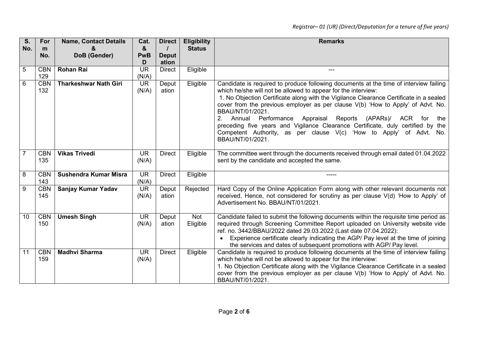| S.             | For               | <b>Name, Contact Details</b> | Cat.               | <b>Direct</b>         | <b>Eligibility</b> | <b>Remarks</b>                                                                                                                                                                                                                                                                                                                                                                                                                                                                                                                                                                                                             |
|----------------|-------------------|------------------------------|--------------------|-----------------------|--------------------|----------------------------------------------------------------------------------------------------------------------------------------------------------------------------------------------------------------------------------------------------------------------------------------------------------------------------------------------------------------------------------------------------------------------------------------------------------------------------------------------------------------------------------------------------------------------------------------------------------------------------|
| No.            | m                 |                              | &                  |                       | <b>Status</b>      |                                                                                                                                                                                                                                                                                                                                                                                                                                                                                                                                                                                                                            |
|                | No.               | DoB (Gender)                 | <b>PwB</b><br>D    | <b>Deput</b><br>ation |                    |                                                                                                                                                                                                                                                                                                                                                                                                                                                                                                                                                                                                                            |
| 5              | <b>CBN</b>        | <b>Rohan Rai</b>             | <b>UR</b>          | <b>Direct</b>         | Eligible           | ---                                                                                                                                                                                                                                                                                                                                                                                                                                                                                                                                                                                                                        |
|                | 129               |                              | (N/A)              |                       |                    |                                                                                                                                                                                                                                                                                                                                                                                                                                                                                                                                                                                                                            |
| 6              | <b>CBN</b><br>132 | <b>Tharkeshwar Nath Giri</b> | <b>UR</b><br>(N/A) | Deput<br>ation        | Eligible           | Candidate is required to produce following documents at the time of interview failing<br>which he/she will not be allowed to appear for the interview:<br>1. No Objection Certificate along with the Vigilance Clearance Certificate in a sealed<br>cover from the previous employer as per clause V(b) 'How to Apply' of Advt. No.<br>BBAU/NT/01/2021.<br>2.<br>Annual<br>Performance<br>Appraisal Reports<br>(APARs)/<br>ACR<br>for<br>the<br>preceding five years and Vigilance Clearance Certificate, duly certified by the<br>Competent Authority, as per clause V(c) 'How to Apply' of Advt. No.<br>BBAU/NT/01/2021. |
| $\overline{7}$ | <b>CBN</b><br>135 | <b>Vikas Trivedi</b>         | <b>UR</b><br>(N/A) | <b>Direct</b>         | Eligible           | The committee went through the documents received through email dated 01.04.2022<br>sent by the candidate and accepted the same.                                                                                                                                                                                                                                                                                                                                                                                                                                                                                           |
| 8              | <b>CBN</b><br>143 | Sushendra Kumar Misra        | <b>UR</b><br>(N/A) | <b>Direct</b>         | Eligible           | -----                                                                                                                                                                                                                                                                                                                                                                                                                                                                                                                                                                                                                      |
| 9              | <b>CBN</b><br>145 | Sanjay Kumar Yadav           | <b>UR</b><br>(N/A) | Deput<br>ation        | Rejected           | Hard Copy of the Online Application Form along with other relevant documents not<br>received. Hence, not considered for scrutiny as per clause V(d) 'How to Apply' of<br>Advertisement No. BBAU/NT/01/2021.                                                                                                                                                                                                                                                                                                                                                                                                                |
| 10             | <b>CBN</b><br>150 | <b>Umesh Singh</b>           | <b>UR</b><br>(N/A) | Deput<br>ation        | Not<br>Eligible    | Candidate failed to submit the following documents within the requisite time period as<br>required through Screening Committee Report uploaded on University website vide<br>ref. no. 3442/BBAU/2022 dated 29.03.2022 (Last date 07.04.2022):<br>Experience certificate clearly indicating the AGP/ Pay level at the time of joining<br>the services and dates of subsequent promotions with AGP/ Pay level.                                                                                                                                                                                                               |
| 11             | <b>CBN</b><br>159 | <b>Madhvi Sharma</b>         | <b>UR</b><br>(N/A) | Direct                | Eligible           | Candidate is required to produce following documents at the time of interview failing<br>which he/she will not be allowed to appear for the interview:<br>1. No Objection Certificate along with the Vigilance Clearance Certificate in a sealed<br>cover from the previous employer as per clause $V(b)$ 'How to Apply' of Advt. No.<br>BBAU/NT/01/2021.                                                                                                                                                                                                                                                                  |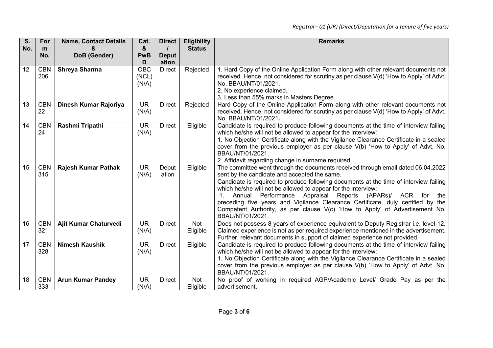| S.  | For        | <b>Name, Contact Details</b> | Cat.       | <b>Direct</b> | <b>Eligibility</b> | <b>Remarks</b>                                                                                      |
|-----|------------|------------------------------|------------|---------------|--------------------|-----------------------------------------------------------------------------------------------------|
| No. | m          |                              | &          |               | <b>Status</b>      |                                                                                                     |
|     | No.        | DoB (Gender)                 | <b>PwB</b> | <b>Deput</b>  |                    |                                                                                                     |
|     |            |                              | D          | ation         |                    |                                                                                                     |
| 12  | <b>CBN</b> | <b>Shreya Sharma</b>         | <b>OBC</b> | <b>Direct</b> | Rejected           | 1. Hard Copy of the Online Application Form along with other relevant documents not                 |
|     | 206        |                              | (NCL)      |               |                    | received. Hence, not considered for scrutiny as per clause V(d) 'How to Apply' of Advt.             |
|     |            |                              | (N/A)      |               |                    | No. BBAU/NT/01/2021.                                                                                |
|     |            |                              |            |               |                    | 2. No experience claimed.                                                                           |
|     |            |                              |            |               |                    | 3. Less than 55% marks in Masters Degree.                                                           |
| 13  | <b>CBN</b> | Dinesh Kumar Rajoriya        | <b>UR</b>  | <b>Direct</b> | Rejected           | Hard Copy of the Online Application Form along with other relevant documents not                    |
|     | 22         |                              | (N/A)      |               |                    | received. Hence, not considered for scrutiny as per clause V(d) 'How to Apply' of Advt.             |
|     |            |                              |            |               |                    | No. BBAU/NT/01/2021.                                                                                |
| 14  | <b>CBN</b> | Rashmi Tripathi              | <b>UR</b>  | <b>Direct</b> | Eligible           | Candidate is required to produce following documents at the time of interview failing               |
|     | 24         |                              | (N/A)      |               |                    | which he/she will not be allowed to appear for the interview:                                       |
|     |            |                              |            |               |                    | 1. No Objection Certificate along with the Vigilance Clearance Certificate in a sealed              |
|     |            |                              |            |               |                    | cover from the previous employer as per clause V(b) 'How to Apply' of Advt. No.<br>BBAU/NT/01/2021. |
|     |            |                              |            |               |                    | 2. Affidavit regarding change in surname required.                                                  |
| 15  | <b>CBN</b> | <b>Rajesh Kumar Pathak</b>   | <b>UR</b>  | Deput         | Eligible           | The committee went through the documents received through email dated 06.04.2022                    |
|     | 315        |                              | (N/A)      | ation         |                    | sent by the candidate and accepted the same.                                                        |
|     |            |                              |            |               |                    | Candidate is required to produce following documents at the time of interview failing               |
|     |            |                              |            |               |                    | which he/she will not be allowed to appear for the interview:                                       |
|     |            |                              |            |               |                    | Annual Performance Appraisal<br>Reports<br>(APARs)/<br>ACR<br>1 <sup>1</sup><br>for<br>the          |
|     |            |                              |            |               |                    | preceding five years and Vigilance Clearance Certificate, duly certified by the                     |
|     |            |                              |            |               |                    | Competent Authority, as per clause V(c) 'How to Apply' of Advertisement No.                         |
|     |            |                              |            |               |                    | BBAU/NT/01/2021.                                                                                    |
| 16  | <b>CBN</b> | Ajit Kumar Chaturvedi        | <b>UR</b>  | <b>Direct</b> | Not                | Does not possess 8 years of experience equivalent to Deputy Registrar i.e. level-12.                |
|     | 321        |                              | (N/A)      |               | Eligible           | Claimed experience is not as per required experience mentioned in the advertisement.                |
|     |            |                              |            |               |                    | Further, relevant documents in support of claimed experience not provided.                          |
| 17  | <b>CBN</b> | <b>Nimesh Kaushik</b>        | <b>UR</b>  | <b>Direct</b> | Eligible           | Candidate is required to produce following documents at the time of interview failing               |
|     | 328        |                              | (N/A)      |               |                    | which he/she will not be allowed to appear for the interview:                                       |
|     |            |                              |            |               |                    | 1. No Objection Certificate along with the Vigilance Clearance Certificate in a sealed              |
|     |            |                              |            |               |                    | cover from the previous employer as per clause V(b) 'How to Apply' of Advt. No.                     |
|     |            |                              |            |               |                    | BBAU/NT/01/2021.                                                                                    |
| 18  | <b>CBN</b> | <b>Arun Kumar Pandey</b>     | <b>UR</b>  | <b>Direct</b> | Not                | No proof of working in required AGP/Academic Level/ Grade Pay as per the                            |
|     | 333        |                              | (N/A)      |               | Eligible           | advertisement.                                                                                      |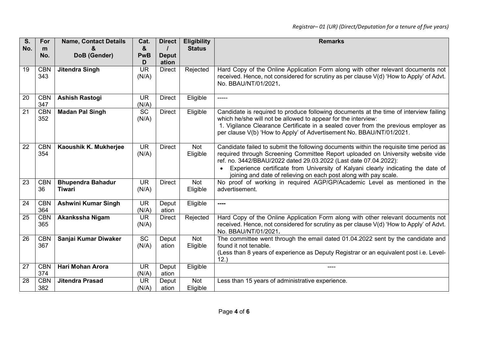| S.  | For               | <b>Name, Contact Details</b>              | Cat.                              | <b>Direct</b>         | <b>Eligibility</b>     | <b>Remarks</b>                                                                                                                                                                                                                                                                                                                                                                                        |
|-----|-------------------|-------------------------------------------|-----------------------------------|-----------------------|------------------------|-------------------------------------------------------------------------------------------------------------------------------------------------------------------------------------------------------------------------------------------------------------------------------------------------------------------------------------------------------------------------------------------------------|
| No. | m                 |                                           | &                                 |                       | <b>Status</b>          |                                                                                                                                                                                                                                                                                                                                                                                                       |
|     | No.               | DoB (Gender)                              | <b>PwB</b><br>D                   | <b>Deput</b><br>ation |                        |                                                                                                                                                                                                                                                                                                                                                                                                       |
| 19  | <b>CBN</b><br>343 | <b>Jitendra Singh</b>                     | $\overline{\mathsf{UR}}$<br>(N/A) | <b>Direct</b>         | Rejected               | Hard Copy of the Online Application Form along with other relevant documents not<br>received. Hence, not considered for scrutiny as per clause V(d) 'How to Apply' of Advt.<br>No. BBAU/NT/01/2021.                                                                                                                                                                                                   |
| 20  | <b>CBN</b><br>347 | <b>Ashish Rastogi</b>                     | <b>UR</b><br>(N/A)                | <b>Direct</b>         | Eligible               | -----                                                                                                                                                                                                                                                                                                                                                                                                 |
| 21  | <b>CBN</b><br>352 | <b>Madan Pal Singh</b>                    | $\overline{SC}$<br>(N/A)          | <b>Direct</b>         | Eligible               | Candidate is required to produce following documents at the time of interview failing<br>which he/she will not be allowed to appear for the interview:<br>1. Vigilance Clearance Certificate in a sealed cover from the previous employer as<br>per clause V(b) 'How to Apply' of Advertisement No. BBAU/NT/01/2021.                                                                                  |
| 22  | <b>CBN</b><br>354 | Kaoushik K. Mukherjee                     | <b>UR</b><br>(N/A)                | <b>Direct</b>         | Not<br>Eligible        | Candidate failed to submit the following documents within the requisite time period as<br>required through Screening Committee Report uploaded on University website vide<br>ref. no. 3442/BBAU/2022 dated 29.03.2022 (Last date 07.04.2022):<br>Experience certificate from University of Kalyani clearly indicating the date of<br>joining and date of relieving on each post along with pay scale. |
| 23  | <b>CBN</b><br>36  | <b>Bhupendra Bahadur</b><br><b>Tiwari</b> | <b>UR</b><br>(N/A)                | <b>Direct</b>         | <b>Not</b><br>Eligible | No proof of working in required AGP/GP/Academic Level as mentioned in the<br>advertisement.                                                                                                                                                                                                                                                                                                           |
| 24  | <b>CBN</b><br>364 | <b>Ashwini Kumar Singh</b>                | $\overline{\mathsf{UR}}$<br>(N/A) | Deput<br>ation        | Eligible               | ----                                                                                                                                                                                                                                                                                                                                                                                                  |
| 25  | <b>CBN</b><br>365 | Akankssha Nigam                           | <b>UR</b><br>(N/A)                | <b>Direct</b>         | Rejected               | Hard Copy of the Online Application Form along with other relevant documents not<br>received. Hence, not considered for scrutiny as per clause V(d) 'How to Apply' of Advt.<br>No. BBAU/NT/01/2021.                                                                                                                                                                                                   |
| 26  | <b>CBN</b><br>367 | Sanjai Kumar Diwaker                      | $\overline{SC}$<br>(N/A)          | Deput<br>ation        | Not<br>Eligible        | The committee went through the email dated 01.04.2022 sent by the candidate and<br>found it not tenable.<br>(Less than 8 years of experience as Deputy Registrar or an equivalent post i.e. Level-<br>12.                                                                                                                                                                                             |
| 27  | <b>CBN</b><br>374 | <b>Hari Mohan Arora</b>                   | <b>UR</b><br>(N/A)                | Deput<br>ation        | Eligible               | ----                                                                                                                                                                                                                                                                                                                                                                                                  |
| 28  | <b>CBN</b><br>382 | <b>Jitendra Prasad</b>                    | <b>UR</b><br>(N/A)                | Deput<br>ation        | Not<br>Eligible        | Less than 15 years of administrative experience.                                                                                                                                                                                                                                                                                                                                                      |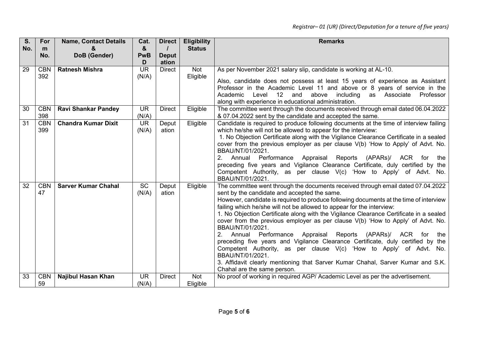| S.  | For        | <b>Name, Contact Details</b> | Cat.       | <b>Direct</b> | <b>Eligibility</b> | <b>Remarks</b>                                                                                        |
|-----|------------|------------------------------|------------|---------------|--------------------|-------------------------------------------------------------------------------------------------------|
| No. | m          |                              | &          |               | <b>Status</b>      |                                                                                                       |
|     | No.        | DoB (Gender)                 | <b>PwB</b> | <b>Deput</b>  |                    |                                                                                                       |
|     |            |                              | D          | ation         |                    |                                                                                                       |
| 29  | <b>CBN</b> | <b>Ratnesh Mishra</b>        | <b>UR</b>  | <b>Direct</b> | Not                | As per November 2021 salary slip, candidate is working at AL-10.                                      |
|     | 392        |                              | (N/A)      |               | Eligible           | Also, candidate does not possess at least 15 years of experience as Assistant                         |
|     |            |                              |            |               |                    | Professor in the Academic Level 11 and above or 8 years of service in the                             |
|     |            |                              |            |               |                    | Level<br>12<br>and<br>above including<br>as Associate<br>Professor<br>Academic                        |
|     |            |                              |            |               |                    | along with experience in educational administration.                                                  |
| 30  | <b>CBN</b> | <b>Ravi Shankar Pandey</b>   | <b>UR</b>  | <b>Direct</b> | Eligible           | The committee went through the documents received through email dated 06.04.2022                      |
|     | 398        |                              | (N/A)      |               |                    | & 07.04.2022 sent by the candidate and accepted the same.                                             |
| 31  | <b>CBN</b> | <b>Chandra Kumar Dixit</b>   | <b>UR</b>  | Deput         | Eligible           | Candidate is required to produce following documents at the time of interview failing                 |
|     | 399        |                              | (N/A)      | ation         |                    | which he/she will not be allowed to appear for the interview:                                         |
|     |            |                              |            |               |                    | 1. No Objection Certificate along with the Vigilance Clearance Certificate in a sealed                |
|     |            |                              |            |               |                    | cover from the previous employer as per clause V(b) 'How to Apply' of Advt. No.                       |
|     |            |                              |            |               |                    | BBAU/NT/01/2021.<br>2.<br>Performance Appraisal Reports<br>(APARs)/<br>Annual<br>ACR for              |
|     |            |                              |            |               |                    | the<br>preceding five years and Vigilance Clearance Certificate, duly certified by the                |
|     |            |                              |            |               |                    | Competent Authority, as per clause V(c) 'How to Apply' of Advt. No.                                   |
|     |            |                              |            |               |                    | BBAU/NT/01/2021.                                                                                      |
| 32  | <b>CBN</b> | <b>Sarver Kumar Chahal</b>   | <b>SC</b>  | Deput         | Eligible           | The committee went through the documents received through email dated 07.04.2022                      |
|     | 47         |                              | (N/A)      | ation         |                    | sent by the candidate and accepted the same.                                                          |
|     |            |                              |            |               |                    | However, candidate is required to produce following documents at the time of interview                |
|     |            |                              |            |               |                    | failing which he/she will not be allowed to appear for the interview:                                 |
|     |            |                              |            |               |                    | 1. No Objection Certificate along with the Vigilance Clearance Certificate in a sealed                |
|     |            |                              |            |               |                    | cover from the previous employer as per clause $V(b)$ 'How to Apply' of Advt. No.<br>BBAU/NT/01/2021. |
|     |            |                              |            |               |                    | Performance Appraisal Reports (APARs)/ ACR for<br>Annual<br>the                                       |
|     |            |                              |            |               |                    | preceding five years and Vigilance Clearance Certificate, duly certified by the                       |
|     |            |                              |            |               |                    | Competent Authority, as per clause V(c) 'How to Apply' of Advt. No.                                   |
|     |            |                              |            |               |                    | BBAU/NT/01/2021.                                                                                      |
|     |            |                              |            |               |                    | 3. Affidavit clearly mentioning that Sarver Kumar Chahal, Sarver Kumar and S.K.                       |
|     |            |                              |            |               |                    | Chahal are the same person.                                                                           |
| 33  | <b>CBN</b> | <b>Najibul Hasan Khan</b>    | <b>UR</b>  | <b>Direct</b> | <b>Not</b>         | No proof of working in required AGP/ Academic Level as per the advertisement.                         |
|     | 59         |                              | (N/A)      |               | Eligible           |                                                                                                       |